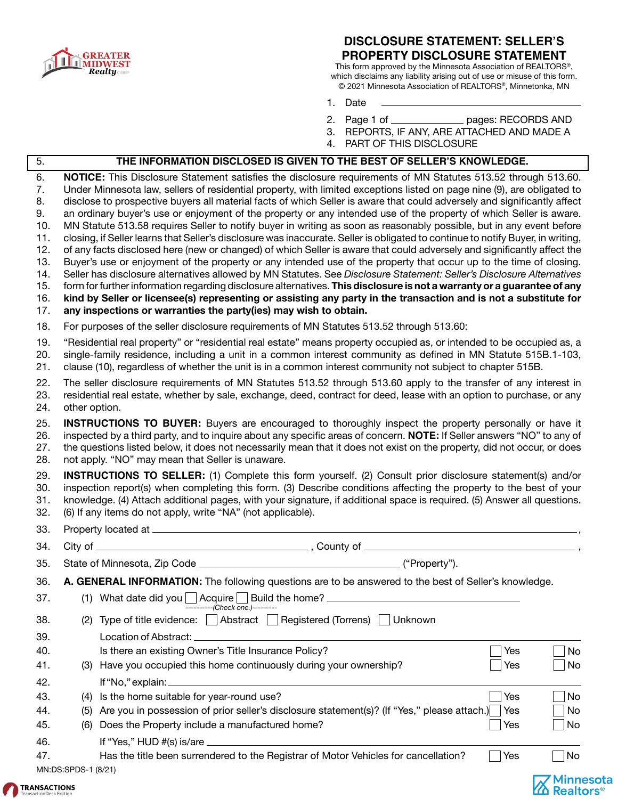

ſ

### **DISCLOSURE STATEMENT: SELLER'S PROPERTY DISCLOSURE STATEMENT**

This form approved by the Minnesota Association of REALTORS®, which disclaims any liability arising out of use or misuse of this form. © 2021 Minnesota Association of REALTORS®, Minnetonka, MN

- 1. Date
- 2. Page 1 of \_\_\_\_\_\_\_\_\_\_\_\_\_\_\_ pages: RECORDS AND
- 3. REPORTS, IF ANY, ARE ATTACHED AND MADE A
- 4. PART OF THIS DISCLOSURE

| $\overline{5}$ .                                                             | THE INFORMATION DISCLOSED IS GIVEN TO THE BEST OF SELLER'S KNOWLEDGE.                                                                                                                                                                                                                                                                                                                                                                                                                                                                                                                                                                                                                                                                                                                                                                                                                                                                                                                                                                                                                                                                                                                                                                                                                                                                                                                                                                              |    |
|------------------------------------------------------------------------------|----------------------------------------------------------------------------------------------------------------------------------------------------------------------------------------------------------------------------------------------------------------------------------------------------------------------------------------------------------------------------------------------------------------------------------------------------------------------------------------------------------------------------------------------------------------------------------------------------------------------------------------------------------------------------------------------------------------------------------------------------------------------------------------------------------------------------------------------------------------------------------------------------------------------------------------------------------------------------------------------------------------------------------------------------------------------------------------------------------------------------------------------------------------------------------------------------------------------------------------------------------------------------------------------------------------------------------------------------------------------------------------------------------------------------------------------------|----|
| 6.<br>7.<br>8.<br>9.<br>10.<br>11.<br>12.<br>13.<br>14.<br>15.<br>16.<br>17. | NOTICE: This Disclosure Statement satisfies the disclosure requirements of MN Statutes 513.52 through 513.60.<br>Under Minnesota law, sellers of residential property, with limited exceptions listed on page nine (9), are obligated to<br>disclose to prospective buyers all material facts of which Seller is aware that could adversely and significantly affect<br>an ordinary buyer's use or enjoyment of the property or any intended use of the property of which Seller is aware.<br>MN Statute 513.58 requires Seller to notify buyer in writing as soon as reasonably possible, but in any event before<br>closing, if Seller learns that Seller's disclosure was inaccurate. Seller is obligated to continue to notify Buyer, in writing,<br>of any facts disclosed here (new or changed) of which Seller is aware that could adversely and significantly affect the<br>Buyer's use or enjoyment of the property or any intended use of the property that occur up to the time of closing.<br>Seller has disclosure alternatives allowed by MN Statutes. See Disclosure Statement: Seller's Disclosure Alternatives<br>form for further information regarding disclosure alternatives. This disclosure is not a warranty or a guarantee of any<br>kind by Seller or licensee(s) representing or assisting any party in the transaction and is not a substitute for<br>any inspections or warranties the party(ies) may wish to obtain. |    |
| 18.                                                                          | For purposes of the seller disclosure requirements of MN Statutes 513.52 through 513.60:                                                                                                                                                                                                                                                                                                                                                                                                                                                                                                                                                                                                                                                                                                                                                                                                                                                                                                                                                                                                                                                                                                                                                                                                                                                                                                                                                           |    |
| 19.<br>20.<br>21.                                                            | "Residential real property" or "residential real estate" means property occupied as, or intended to be occupied as, a<br>single-family residence, including a unit in a common interest community as defined in MN Statute 515B.1-103,<br>clause (10), regardless of whether the unit is in a common interest community not subject to chapter 515B.                                                                                                                                                                                                                                                                                                                                                                                                                                                                                                                                                                                                                                                                                                                                                                                                                                                                                                                                                                                                                                                                                               |    |
| 22.<br>23.<br>24.                                                            | The seller disclosure requirements of MN Statutes 513.52 through 513.60 apply to the transfer of any interest in<br>residential real estate, whether by sale, exchange, deed, contract for deed, lease with an option to purchase, or any<br>other option.                                                                                                                                                                                                                                                                                                                                                                                                                                                                                                                                                                                                                                                                                                                                                                                                                                                                                                                                                                                                                                                                                                                                                                                         |    |
| 25.<br>26.<br>27.<br>28.                                                     | <b>INSTRUCTIONS TO BUYER:</b> Buyers are encouraged to thoroughly inspect the property personally or have it<br>inspected by a third party, and to inquire about any specific areas of concern. NOTE: If Seller answers "NO" to any of<br>the questions listed below, it does not necessarily mean that it does not exist on the property, did not occur, or does<br>not apply. "NO" may mean that Seller is unaware.                                                                                                                                                                                                                                                                                                                                                                                                                                                                                                                                                                                                                                                                                                                                                                                                                                                                                                                                                                                                                              |    |
| 29.<br>30.<br>31.<br>32.                                                     | <b>INSTRUCTIONS TO SELLER:</b> (1) Complete this form yourself. (2) Consult prior disclosure statement(s) and/or<br>inspection report(s) when completing this form. (3) Describe conditions affecting the property to the best of your<br>knowledge. (4) Attach additional pages, with your signature, if additional space is required. (5) Answer all questions.<br>(6) If any items do not apply, write "NA" (not applicable).                                                                                                                                                                                                                                                                                                                                                                                                                                                                                                                                                                                                                                                                                                                                                                                                                                                                                                                                                                                                                   |    |
| 33.                                                                          |                                                                                                                                                                                                                                                                                                                                                                                                                                                                                                                                                                                                                                                                                                                                                                                                                                                                                                                                                                                                                                                                                                                                                                                                                                                                                                                                                                                                                                                    |    |
| 34.                                                                          |                                                                                                                                                                                                                                                                                                                                                                                                                                                                                                                                                                                                                                                                                                                                                                                                                                                                                                                                                                                                                                                                                                                                                                                                                                                                                                                                                                                                                                                    |    |
| 35.                                                                          |                                                                                                                                                                                                                                                                                                                                                                                                                                                                                                                                                                                                                                                                                                                                                                                                                                                                                                                                                                                                                                                                                                                                                                                                                                                                                                                                                                                                                                                    |    |
| 36.                                                                          | A. GENERAL INFORMATION: The following questions are to be answered to the best of Seller's knowledge.                                                                                                                                                                                                                                                                                                                                                                                                                                                                                                                                                                                                                                                                                                                                                                                                                                                                                                                                                                                                                                                                                                                                                                                                                                                                                                                                              |    |
|                                                                              |                                                                                                                                                                                                                                                                                                                                                                                                                                                                                                                                                                                                                                                                                                                                                                                                                                                                                                                                                                                                                                                                                                                                                                                                                                                                                                                                                                                                                                                    |    |
| 37.                                                                          | (1) What date did you $\Box$ Acquire $\Box$ Build the home? $\Box$                                                                                                                                                                                                                                                                                                                                                                                                                                                                                                                                                                                                                                                                                                                                                                                                                                                                                                                                                                                                                                                                                                                                                                                                                                                                                                                                                                                 |    |
|                                                                              | ----------(Check one.)---------                                                                                                                                                                                                                                                                                                                                                                                                                                                                                                                                                                                                                                                                                                                                                                                                                                                                                                                                                                                                                                                                                                                                                                                                                                                                                                                                                                                                                    |    |
| 38.                                                                          | Abstract   Registered (Torrens)   Unknown<br>(2) Type of title evidence:                                                                                                                                                                                                                                                                                                                                                                                                                                                                                                                                                                                                                                                                                                                                                                                                                                                                                                                                                                                                                                                                                                                                                                                                                                                                                                                                                                           |    |
| 39.<br>40.                                                                   | Location of Abstract:<br>Is there an existing Owner's Title Insurance Policy?<br>Yes                                                                                                                                                                                                                                                                                                                                                                                                                                                                                                                                                                                                                                                                                                                                                                                                                                                                                                                                                                                                                                                                                                                                                                                                                                                                                                                                                               | No |
| 41.                                                                          | Have you occupied this home continuously during your ownership?<br>Yes<br>(3)                                                                                                                                                                                                                                                                                                                                                                                                                                                                                                                                                                                                                                                                                                                                                                                                                                                                                                                                                                                                                                                                                                                                                                                                                                                                                                                                                                      | No |
| 42.                                                                          | If "No," explain:                                                                                                                                                                                                                                                                                                                                                                                                                                                                                                                                                                                                                                                                                                                                                                                                                                                                                                                                                                                                                                                                                                                                                                                                                                                                                                                                                                                                                                  |    |
| 43.                                                                          | Is the home suitable for year-round use?<br>Yes<br>(4)                                                                                                                                                                                                                                                                                                                                                                                                                                                                                                                                                                                                                                                                                                                                                                                                                                                                                                                                                                                                                                                                                                                                                                                                                                                                                                                                                                                             | No |
| 44.                                                                          | Are you in possession of prior seller's disclosure statement(s)? (If "Yes," please attach.)<br>Yes<br>(5)                                                                                                                                                                                                                                                                                                                                                                                                                                                                                                                                                                                                                                                                                                                                                                                                                                                                                                                                                                                                                                                                                                                                                                                                                                                                                                                                          | No |
| 45.                                                                          | Does the Property include a manufactured home?<br>Yes<br>(6)                                                                                                                                                                                                                                                                                                                                                                                                                                                                                                                                                                                                                                                                                                                                                                                                                                                                                                                                                                                                                                                                                                                                                                                                                                                                                                                                                                                       | No |
| 46.                                                                          | If "Yes," HUD #(s) is/are $\frac{1}{2}$ = $\frac{1}{2}$ = $\frac{1}{2}$ = $\frac{1}{2}$ = $\frac{1}{2}$ = $\frac{1}{2}$ = $\frac{1}{2}$ = $\frac{1}{2}$ = $\frac{1}{2}$ = $\frac{1}{2}$ = $\frac{1}{2}$ = $\frac{1}{2}$ = $\frac{1}{2}$ = $\frac{1}{2}$ = $\frac{1}{2}$ = $\frac{1}{2}$ = $\frac$                                                                                                                                                                                                                                                                                                                                                                                                                                                                                                                                                                                                                                                                                                                                                                                                                                                                                                                                                                                                                                                                                                                                                  |    |
| 47.                                                                          | Has the title been surrendered to the Registrar of Motor Vehicles for cancellation?<br>Yes<br>MN:DS:SPDS-1 (8/21)                                                                                                                                                                                                                                                                                                                                                                                                                                                                                                                                                                                                                                                                                                                                                                                                                                                                                                                                                                                                                                                                                                                                                                                                                                                                                                                                  | No |

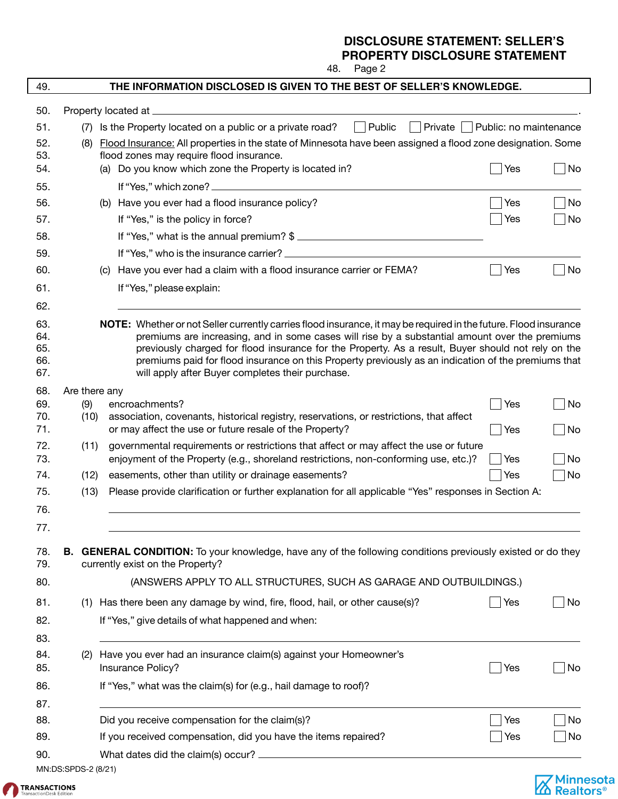# **DISCLOSURE STATEMENT: SELLER'S**

**PROPERTY DISCLOSURE STATEMENT**

48. Page 2

| 49.        |               | THE INFORMATION DISCLOSED IS GIVEN TO THE BEST OF SELLER'S KNOWLEDGE.                                                                                                                                |                        |    |
|------------|---------------|------------------------------------------------------------------------------------------------------------------------------------------------------------------------------------------------------|------------------------|----|
| 50.        |               | Property located at _____________                                                                                                                                                                    |                        |    |
| 51.        |               | $\Box$ Public<br>Is the Property located on a public or a private road?<br>Private<br>$\mathcal{L}$                                                                                                  | Public: no maintenance |    |
| 52.        | (8)           | Flood Insurance: All properties in the state of Minnesota have been assigned a flood zone designation. Some                                                                                          |                        |    |
| 53.        |               | flood zones may require flood insurance.                                                                                                                                                             |                        |    |
| 54.        |               | (a) Do you know which zone the Property is located in?                                                                                                                                               | Yes                    | No |
| 55.        |               |                                                                                                                                                                                                      |                        |    |
| 56.        |               | (b) Have you ever had a flood insurance policy?                                                                                                                                                      | Yes                    | No |
| 57.        |               | If "Yes," is the policy in force?                                                                                                                                                                    | Yes                    | No |
| 58.        |               | If "Yes," what is the annual premium? \$                                                                                                                                                             |                        |    |
| 59.        |               |                                                                                                                                                                                                      |                        |    |
| 60.        |               | (c) Have you ever had a claim with a flood insurance carrier or FEMA?                                                                                                                                | Yes                    | No |
| 61.        |               | If "Yes," please explain:                                                                                                                                                                            |                        |    |
| 62.        |               |                                                                                                                                                                                                      |                        |    |
| 63.        |               | NOTE: Whether or not Seller currently carries flood insurance, it may be required in the future. Flood insurance                                                                                     |                        |    |
| 64.<br>65. |               | premiums are increasing, and in some cases will rise by a substantial amount over the premiums<br>previously charged for flood insurance for the Property. As a result, Buyer should not rely on the |                        |    |
| 66.        |               | premiums paid for flood insurance on this Property previously as an indication of the premiums that                                                                                                  |                        |    |
| 67.        |               | will apply after Buyer completes their purchase.                                                                                                                                                     |                        |    |
| 68.        | Are there any |                                                                                                                                                                                                      |                        |    |
| 69.        | (9)           | encroachments?                                                                                                                                                                                       | Yes                    | No |
| 70.<br>71. | (10)          | association, covenants, historical registry, reservations, or restrictions, that affect<br>or may affect the use or future resale of the Property?                                                   | $\vert$ Yes            | No |
| 72.        | (11)          | governmental requirements or restrictions that affect or may affect the use or future                                                                                                                |                        |    |
| 73.        |               | enjoyment of the Property (e.g., shoreland restrictions, non-conforming use, etc.)?                                                                                                                  | $\vert$ Yes            | No |
| 74.        | (12)          | easements, other than utility or drainage easements?                                                                                                                                                 | Yes                    | No |
| 75.        | (13)          | Please provide clarification or further explanation for all applicable "Yes" responses in Section A:                                                                                                 |                        |    |
| 76.        |               |                                                                                                                                                                                                      |                        |    |
| 77.        |               |                                                                                                                                                                                                      |                        |    |
|            |               |                                                                                                                                                                                                      |                        |    |
| 78.<br>79. |               | <b>B.</b> GENERAL CONDITION: To your knowledge, have any of the following conditions previously existed or do they<br>currently exist on the Property?                                               |                        |    |
|            |               |                                                                                                                                                                                                      |                        |    |
| 80.        |               | (ANSWERS APPLY TO ALL STRUCTURES, SUCH AS GARAGE AND OUTBUILDINGS.)                                                                                                                                  |                        |    |
| 81.        |               | (1) Has there been any damage by wind, fire, flood, hail, or other cause(s)?                                                                                                                         | Yes                    | No |
| 82.        |               | If "Yes," give details of what happened and when:                                                                                                                                                    |                        |    |
| 83.        |               |                                                                                                                                                                                                      |                        |    |
| 84.        | (2)           | Have you ever had an insurance claim(s) against your Homeowner's                                                                                                                                     |                        |    |
| 85.        |               | Insurance Policy?                                                                                                                                                                                    | Yes                    | No |
| 86.        |               | If "Yes," what was the claim(s) for (e.g., hail damage to roof)?                                                                                                                                     |                        |    |
| 87.        |               |                                                                                                                                                                                                      |                        |    |
| 88.        |               | Did you receive compensation for the claim(s)?                                                                                                                                                       | Yes                    | No |
| 89.        |               | If you received compensation, did you have the items repaired?                                                                                                                                       | Yes                    | No |
| 90.        |               |                                                                                                                                                                                                      |                        |    |

MN:DS:SPDS-2 (8/21)



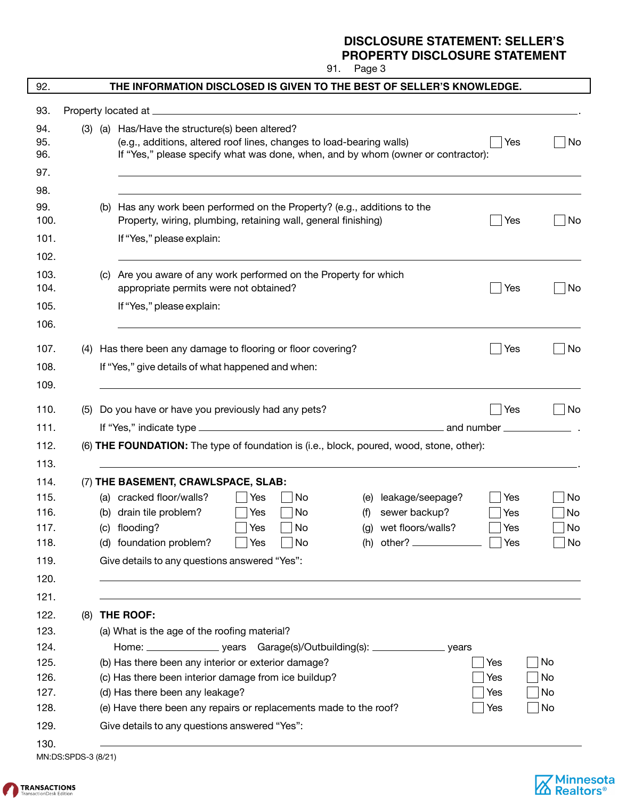Minnesota<br>Mealtors<sup>®</sup>

91. Page 3

| 92.                                                          |     |     | THE INFORMATION DISCLOSED IS GIVEN TO THE BEST OF SELLER'S KNOWLEDGE.                                                                                                                                                                                                                                                                                                             |                          |                             |
|--------------------------------------------------------------|-----|-----|-----------------------------------------------------------------------------------------------------------------------------------------------------------------------------------------------------------------------------------------------------------------------------------------------------------------------------------------------------------------------------------|--------------------------|-----------------------------|
| 93.                                                          |     |     | Property located at _<br><u> 1980 - Jan Sterling von Berling von Berling von Berling von Berling von Berling von Berling von Berling von B</u>                                                                                                                                                                                                                                    |                          |                             |
| 94.<br>95.<br>96.<br>97.                                     |     |     | (3) (a) Has/Have the structure(s) been altered?<br>(e.g., additions, altered roof lines, changes to load-bearing walls)<br>If "Yes," please specify what was done, when, and by whom (owner or contractor):                                                                                                                                                                       | Yes                      | No                          |
| 98.                                                          |     |     |                                                                                                                                                                                                                                                                                                                                                                                   |                          |                             |
| 99.<br>100.<br>101.                                          |     |     | (b) Has any work been performed on the Property? (e.g., additions to the<br>Property, wiring, plumbing, retaining wall, general finishing)<br>If "Yes," please explain:                                                                                                                                                                                                           | Yes                      | $\overline{\phantom{a}}$ No |
| 102.                                                         |     |     |                                                                                                                                                                                                                                                                                                                                                                                   |                          |                             |
| 103.<br>104.                                                 |     |     | (c) Are you aware of any work performed on the Property for which<br>appropriate permits were not obtained?                                                                                                                                                                                                                                                                       | Yes                      | No                          |
| 105.<br>106.                                                 |     |     | If "Yes," please explain:                                                                                                                                                                                                                                                                                                                                                         |                          |                             |
| 107.<br>108.                                                 | (4) |     | Has there been any damage to flooring or floor covering?<br>If "Yes," give details of what happened and when:                                                                                                                                                                                                                                                                     | Yes                      | No                          |
| 109.<br>110.<br>111.                                         | (5) |     | Do you have or have you previously had any pets?<br>and number _                                                                                                                                                                                                                                                                                                                  | Yes                      | No                          |
| 112.                                                         |     |     | (6) THE FOUNDATION: The type of foundation is (i.e., block, poured, wood, stone, other):                                                                                                                                                                                                                                                                                          |                          |                             |
| 113.                                                         |     |     |                                                                                                                                                                                                                                                                                                                                                                                   |                          |                             |
| 114.<br>115.<br>116.<br>117.<br>118.<br>119.<br>120.         |     | (b) | (7) THE BASEMENT, CRAWLSPACE, SLAB:<br>(a) cracked floor/walls?<br>leakage/seepage?<br>Yes<br>No<br>(e)<br>sewer backup?<br>drain tile problem?<br>Yes<br>No<br>(f)<br>wet floors/walls?<br>(c) flooding?<br>No<br>(q)<br>Yes<br>(h) other? $\frac{1}{2}$<br>(d) foundation problem?<br>No<br>Yes<br>Give details to any questions answered "Yes":                                | Yes<br>Yes<br>Yes<br>Yes | No<br>No<br>No<br>No        |
| 121.<br>122.<br>123.<br>124.<br>125.<br>126.<br>127.<br>128. | (8) |     | THE ROOF:<br>(a) What is the age of the roofing material?<br>Home: ________________________ years Garage(s)/Outbuilding(s): ________________________ years<br>(b) Has there been any interior or exterior damage?<br>(c) Has there been interior damage from ice buildup?<br>(d) Has there been any leakage?<br>(e) Have there been any repairs or replacements made to the roof? | Yes<br>Yes<br>Yes<br>Yes | No<br>No<br>No<br>No        |
| 129.<br>130.                                                 |     |     | Give details to any questions answered "Yes":                                                                                                                                                                                                                                                                                                                                     |                          |                             |

MN:DS:SPDS-3 (8/21)

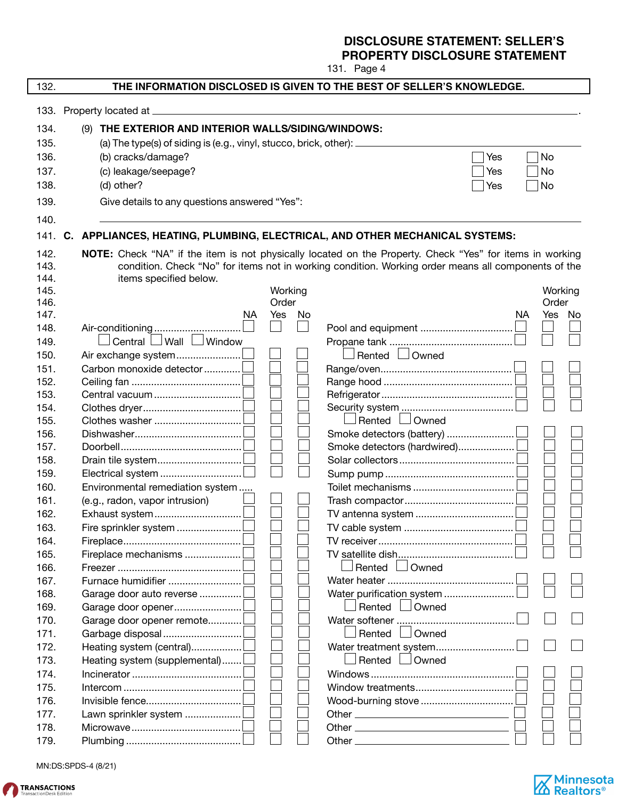131. Page 4

| 132. |                                                                             |    |         |    | THE INFORMATION DISCLOSED IS GIVEN TO THE BEST OF SELLER'S KNOWLEDGE.                                    |     |         |  |
|------|-----------------------------------------------------------------------------|----|---------|----|----------------------------------------------------------------------------------------------------------|-----|---------|--|
|      |                                                                             |    |         |    |                                                                                                          |     |         |  |
| 134. | THE EXTERIOR AND INTERIOR WALLS/SIDING/WINDOWS:<br>(9)                      |    |         |    |                                                                                                          |     |         |  |
| 135. | (a) The type(s) of siding is (e.g., vinyl, stucco, brick, other): _____     |    |         |    |                                                                                                          |     |         |  |
|      |                                                                             |    |         |    |                                                                                                          |     |         |  |
| 136. | (b) cracks/damage?                                                          |    |         |    |                                                                                                          | Yes | No      |  |
| 137. | (c) leakage/seepage?                                                        |    |         |    |                                                                                                          | Yes | No      |  |
| 138. | (d) other?                                                                  |    |         |    |                                                                                                          | Yes | No      |  |
| 139. | Give details to any questions answered "Yes":                               |    |         |    |                                                                                                          |     |         |  |
| 140. |                                                                             |    |         |    |                                                                                                          |     |         |  |
| 141. | C. APPLIANCES, HEATING, PLUMBING, ELECTRICAL, AND OTHER MECHANICAL SYSTEMS: |    |         |    |                                                                                                          |     |         |  |
| 142. |                                                                             |    |         |    | NOTE: Check "NA" if the item is not physically located on the Property. Check "Yes" for items in working |     |         |  |
| 143. |                                                                             |    |         |    | condition. Check "No" for items not in working condition. Working order means all components of the      |     |         |  |
| 144. | items specified below.                                                      |    |         |    |                                                                                                          |     |         |  |
| 145. |                                                                             |    | Working |    |                                                                                                          |     | Working |  |
| 146. |                                                                             |    | Order   |    |                                                                                                          |     | Order   |  |
| 147. |                                                                             | NA | Yes     | No |                                                                                                          | NA  | Yes No  |  |
| 148. | Air-conditioning                                                            |    |         |    |                                                                                                          |     |         |  |
| 149. | Central $\Box$ Wall $\Box$ Window                                           |    |         |    |                                                                                                          |     |         |  |
| 150. | Air exchange system                                                         |    |         |    | Rented <b>L</b> Owned                                                                                    |     |         |  |
| 151. | Carbon monoxide detector                                                    |    |         |    |                                                                                                          |     |         |  |
| 152. |                                                                             |    |         |    |                                                                                                          |     |         |  |
| 153. |                                                                             |    |         |    |                                                                                                          |     |         |  |
| 154. |                                                                             |    |         |    |                                                                                                          |     |         |  |
| 155. |                                                                             |    |         |    | Rented <b>JOwned</b>                                                                                     |     |         |  |
| 156. |                                                                             |    |         |    |                                                                                                          |     |         |  |
| 157. |                                                                             |    |         |    | Smoke detectors (hardwired)                                                                              |     |         |  |
| 158. |                                                                             |    |         |    |                                                                                                          |     |         |  |
| 159. |                                                                             |    |         |    |                                                                                                          |     |         |  |
| 160. | Environmental remediation system                                            |    |         |    |                                                                                                          |     |         |  |
| 161. | (e.g., radon, vapor intrusion)                                              |    |         |    |                                                                                                          |     |         |  |
| 162. |                                                                             |    |         |    |                                                                                                          |     |         |  |
| 163. | Fire sprinkler system                                                       |    |         |    | TV cable system                                                                                          |     |         |  |
| 164. |                                                                             |    |         |    |                                                                                                          |     |         |  |
| 165. |                                                                             |    |         |    |                                                                                                          |     |         |  |
| 166. |                                                                             |    |         |    | Owned<br>Rented $\Box$                                                                                   |     |         |  |
| 167. |                                                                             |    |         |    |                                                                                                          |     |         |  |
| 168. | Garage door auto reverse                                                    |    |         |    | Water purification system                                                                                |     |         |  |
| 169. |                                                                             |    |         |    | Rented <b>Downed</b>                                                                                     |     |         |  |
| 170. | Garage door opener remote                                                   |    |         |    |                                                                                                          |     |         |  |
| 171. |                                                                             |    |         |    | Rented Lowned                                                                                            |     |         |  |
| 172. | Heating system (central)                                                    |    |         |    | Water treatment system                                                                                   |     |         |  |
| 173. | Heating system (supplemental)                                               |    |         |    | Rented <b>L</b> Owned                                                                                    |     |         |  |
| 174. |                                                                             |    |         |    |                                                                                                          |     |         |  |
| 175. |                                                                             |    |         |    |                                                                                                          |     |         |  |
|      |                                                                             |    |         |    |                                                                                                          |     |         |  |
| 176. |                                                                             |    |         |    |                                                                                                          |     |         |  |
| 177. |                                                                             |    |         |    |                                                                                                          |     |         |  |
| 178. |                                                                             |    |         |    |                                                                                                          |     |         |  |
| 179. |                                                                             |    |         |    |                                                                                                          |     |         |  |

MN:DS:SPDS-4 (8/21)



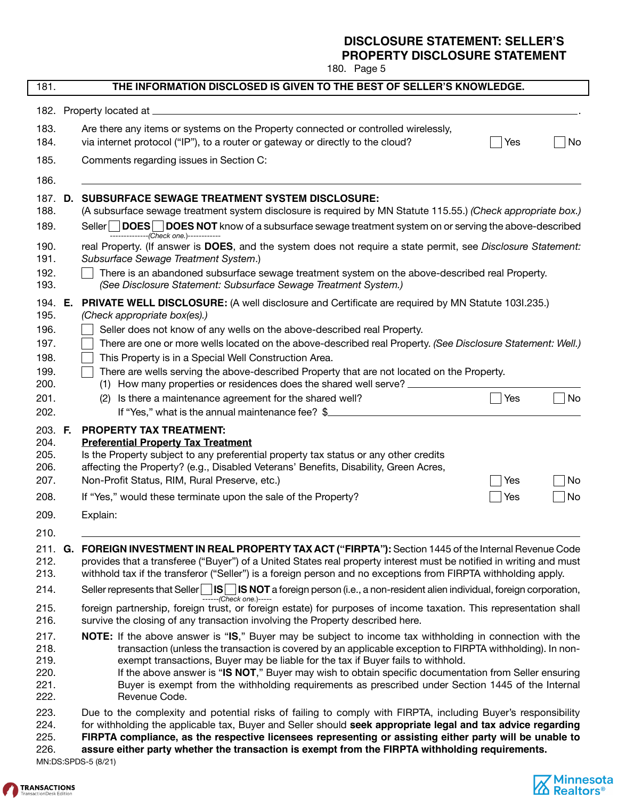180. Page 5

| 181.                                         |    | THE INFORMATION DISCLOSED IS GIVEN TO THE BEST OF SELLER'S KNOWLEDGE.                                                                                                                                                                                                                                                                                                                                                                                                                                                                            |
|----------------------------------------------|----|--------------------------------------------------------------------------------------------------------------------------------------------------------------------------------------------------------------------------------------------------------------------------------------------------------------------------------------------------------------------------------------------------------------------------------------------------------------------------------------------------------------------------------------------------|
|                                              |    | 182. Property located at _                                                                                                                                                                                                                                                                                                                                                                                                                                                                                                                       |
| 183.                                         |    | Are there any items or systems on the Property connected or controlled wirelessly,                                                                                                                                                                                                                                                                                                                                                                                                                                                               |
| 184.                                         |    | via internet protocol ("IP"), to a router or gateway or directly to the cloud?<br>No<br>Yes                                                                                                                                                                                                                                                                                                                                                                                                                                                      |
| 185.                                         |    | Comments regarding issues in Section C:                                                                                                                                                                                                                                                                                                                                                                                                                                                                                                          |
| 186.                                         |    |                                                                                                                                                                                                                                                                                                                                                                                                                                                                                                                                                  |
| 187.<br>188.                                 | D. | <b>SUBSURFACE SEWAGE TREATMENT SYSTEM DISCLOSURE:</b><br>(A subsurface sewage treatment system disclosure is required by MN Statute 115.55.) (Check appropriate box.)                                                                                                                                                                                                                                                                                                                                                                            |
| 189.                                         |    | DOES<br>DOES NOT know of a subsurface sewage treatment system on or serving the above-described<br>Seller  <br>--------------(Check one.)------------                                                                                                                                                                                                                                                                                                                                                                                            |
| 190.<br>191.                                 |    | real Property. (If answer is DOES, and the system does not require a state permit, see Disclosure Statement:<br>Subsurface Sewage Treatment System.)                                                                                                                                                                                                                                                                                                                                                                                             |
| 192.<br>193.                                 |    | There is an abandoned subsurface sewage treatment system on the above-described real Property.<br>(See Disclosure Statement: Subsurface Sewage Treatment System.)                                                                                                                                                                                                                                                                                                                                                                                |
| 194. E.<br>195.                              |    | <b>PRIVATE WELL DISCLOSURE:</b> (A well disclosure and Certificate are required by MN Statute 1031.235.)<br>(Check appropriate box(es).)                                                                                                                                                                                                                                                                                                                                                                                                         |
| 196.                                         |    | Seller does not know of any wells on the above-described real Property.                                                                                                                                                                                                                                                                                                                                                                                                                                                                          |
| 197.                                         |    | There are one or more wells located on the above-described real Property. (See Disclosure Statement: Well.)                                                                                                                                                                                                                                                                                                                                                                                                                                      |
| 198.                                         |    | This Property is in a Special Well Construction Area.                                                                                                                                                                                                                                                                                                                                                                                                                                                                                            |
| 199.<br>200.                                 |    | There are wells serving the above-described Property that are not located on the Property.<br>(1) How many properties or residences does the shared well serve?                                                                                                                                                                                                                                                                                                                                                                                  |
| 201.                                         |    | Is there a maintenance agreement for the shared well?<br>$ $ No<br>Yes<br>(2)                                                                                                                                                                                                                                                                                                                                                                                                                                                                    |
| 202.                                         |    | If "Yes," what is the annual maintenance fee? \$                                                                                                                                                                                                                                                                                                                                                                                                                                                                                                 |
| 203. F.<br>204.<br>205.<br>206.<br>207.      |    | <b>PROPERTY TAX TREATMENT:</b><br><b>Preferential Property Tax Treatment</b><br>Is the Property subject to any preferential property tax status or any other credits<br>affecting the Property? (e.g., Disabled Veterans' Benefits, Disability, Green Acres,<br>Non-Profit Status, RIM, Rural Preserve, etc.)<br>No<br>Yes                                                                                                                                                                                                                       |
| 208.                                         |    | If "Yes," would these terminate upon the sale of the Property?<br>Yes<br>No                                                                                                                                                                                                                                                                                                                                                                                                                                                                      |
| 209.                                         |    | Explain:                                                                                                                                                                                                                                                                                                                                                                                                                                                                                                                                         |
| 210.                                         |    |                                                                                                                                                                                                                                                                                                                                                                                                                                                                                                                                                  |
| 211. <b>G.</b><br>212.<br>213.               |    | FOREIGN INVESTMENT IN REAL PROPERTY TAX ACT ("FIRPTA"): Section 1445 of the Internal Revenue Code<br>provides that a transferee ("Buyer") of a United States real property interest must be notified in writing and must<br>withhold tax if the transferor ("Seller") is a foreign person and no exceptions from FIRPTA withholding apply.                                                                                                                                                                                                       |
| 214.                                         |    | Seller represents that Seller $\Box$ IS NOT a foreign person (i.e., a non-resident alien individual, foreign corporation,<br>------(Check one.)-----                                                                                                                                                                                                                                                                                                                                                                                             |
| 215.<br>216.                                 |    | foreign partnership, foreign trust, or foreign estate) for purposes of income taxation. This representation shall<br>survive the closing of any transaction involving the Property described here.                                                                                                                                                                                                                                                                                                                                               |
| 217.<br>218.<br>219.<br>220.<br>221.<br>222. |    | <b>NOTE:</b> If the above answer is "IS," Buyer may be subject to income tax withholding in connection with the<br>transaction (unless the transaction is covered by an applicable exception to FIRPTA withholding). In non-<br>exempt transactions, Buyer may be liable for the tax if Buyer fails to withhold.<br>If the above answer is "IS NOT," Buyer may wish to obtain specific documentation from Seller ensuring<br>Buyer is exempt from the withholding requirements as prescribed under Section 1445 of the Internal<br>Revenue Code. |
| 223.<br>224.<br>225.<br>226.                 |    | Due to the complexity and potential risks of failing to comply with FIRPTA, including Buyer's responsibility<br>for withholding the applicable tax, Buyer and Seller should seek appropriate legal and tax advice regarding<br>FIRPTA compliance, as the respective licensees representing or assisting either party will be unable to<br>assure either party whether the transaction is exempt from the FIRPTA withholding requirements.                                                                                                        |

MN:DS:SPDS-5 (8/21)



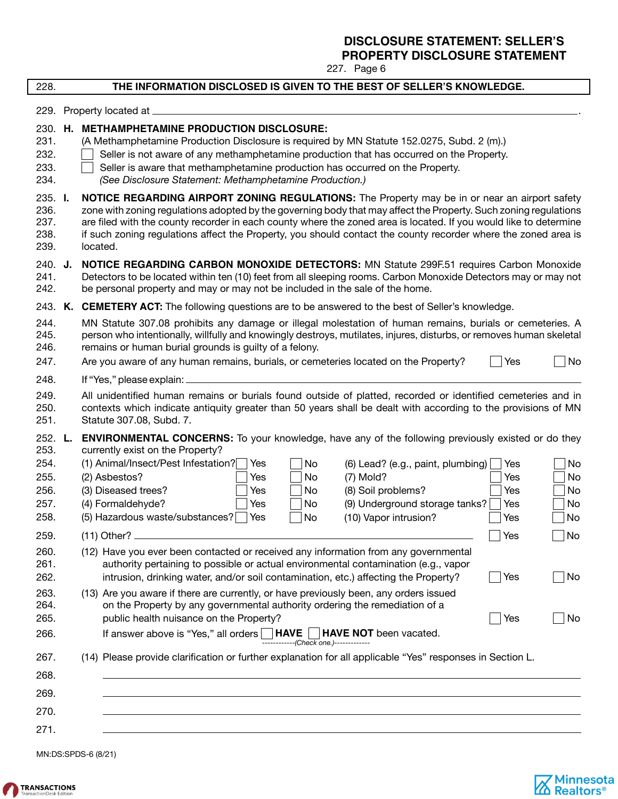227. Page 6

| 228.                                    |    | THE INFORMATION DISCLOSED IS GIVEN TO THE BEST OF SELLER'S KNOWLEDGE.                                                                                                                                                                                                                                                                                                                                                                                                |
|-----------------------------------------|----|----------------------------------------------------------------------------------------------------------------------------------------------------------------------------------------------------------------------------------------------------------------------------------------------------------------------------------------------------------------------------------------------------------------------------------------------------------------------|
| 229.                                    |    | Property located at .                                                                                                                                                                                                                                                                                                                                                                                                                                                |
| 230.<br>231.<br>232.<br>233.<br>234.    | Н. | <b>METHAMPHETAMINE PRODUCTION DISCLOSURE:</b><br>(A Methamphetamine Production Disclosure is required by MN Statute 152.0275, Subd. 2 (m).)<br>Seller is not aware of any methamphetamine production that has occurred on the Property.<br>Seller is aware that methamphetamine production has occurred on the Property.<br>(See Disclosure Statement: Methamphetamine Production.)                                                                                  |
| 235. I.<br>236.<br>237.<br>238.<br>239. |    | NOTICE REGARDING AIRPORT ZONING REGULATIONS: The Property may be in or near an airport safety<br>zone with zoning regulations adopted by the governing body that may affect the Property. Such zoning regulations<br>are filed with the county recorder in each county where the zoned area is located. If you would like to determine<br>if such zoning regulations affect the Property, you should contact the county recorder where the zoned area is<br>located. |
| 240. J.<br>241.<br>242.                 |    | NOTICE REGARDING CARBON MONOXIDE DETECTORS: MN Statute 299F.51 requires Carbon Monoxide<br>Detectors to be located within ten (10) feet from all sleeping rooms. Carbon Monoxide Detectors may or may not<br>be personal property and may or may not be included in the sale of the home.                                                                                                                                                                            |
|                                         |    | 243. K. CEMETERY ACT: The following questions are to be answered to the best of Seller's knowledge.                                                                                                                                                                                                                                                                                                                                                                  |
| 244.<br>245.<br>246.                    |    | MN Statute 307.08 prohibits any damage or illegal molestation of human remains, burials or cemeteries. A<br>person who intentionally, willfully and knowingly destroys, mutilates, injures, disturbs, or removes human skeletal<br>remains or human burial grounds is guilty of a felony.                                                                                                                                                                            |
| 247.                                    |    | No<br>Are you aware of any human remains, burials, or cemeteries located on the Property?<br>Yes                                                                                                                                                                                                                                                                                                                                                                     |
| 248.                                    |    | If "Yes," please explain:                                                                                                                                                                                                                                                                                                                                                                                                                                            |
| 249.<br>250.<br>251.                    |    | All unidentified human remains or burials found outside of platted, recorded or identified cemeteries and in<br>contexts which indicate antiquity greater than 50 years shall be dealt with according to the provisions of MN<br>Statute 307.08, Subd. 7.                                                                                                                                                                                                            |
| 252. L.<br>253.<br>254.<br>255.         |    | <b>ENVIRONMENTAL CONCERNS:</b> To your knowledge, have any of the following previously existed or do they<br>currently exist on the Property?<br>(1) Animal/Insect/Pest Infestation?<br>Yes<br>No<br>(6) Lead? (e.g., paint, plumbing)<br>No<br>Yes<br>(2) Asbestos?<br>$(7)$ Mold?<br>No<br>No<br>Yes<br>Yes                                                                                                                                                        |
| 256.<br>257.                            |    | (3) Diseased trees?<br>(8) Soil problems?<br>No<br>Yes<br>No<br>Yes<br>(4) Formaldehyde?<br>(9) Underground storage tanks?<br>Yes<br>No<br>Yes<br>No                                                                                                                                                                                                                                                                                                                 |
| 258.                                    |    | (5) Hazardous waste/substances?<br>No<br>(10) Vapor intrusion?<br>Yes<br>No<br>Yes                                                                                                                                                                                                                                                                                                                                                                                   |
| 259.                                    |    | No<br>$(11)$ Other?<br>Yes                                                                                                                                                                                                                                                                                                                                                                                                                                           |
| 260.<br>261.<br>262.                    |    | (12) Have you ever been contacted or received any information from any governmental<br>authority pertaining to possible or actual environmental contamination (e.g., vapor<br>intrusion, drinking water, and/or soil contamination, etc.) affecting the Property?<br>No<br>$\vert$ Yes                                                                                                                                                                               |
| 263.<br>264.<br>265.                    |    | (13) Are you aware if there are currently, or have previously been, any orders issued<br>on the Property by any governmental authority ordering the remediation of a<br>public health nuisance on the Property?<br>Yes<br>No                                                                                                                                                                                                                                         |
| 266.                                    |    | If answer above is "Yes," all orders   HAVE  <br><b>HAVE NOT</b> been vacated.                                                                                                                                                                                                                                                                                                                                                                                       |
| 267.                                    |    | (14) Please provide clarification or further explanation for all applicable "Yes" responses in Section L.                                                                                                                                                                                                                                                                                                                                                            |
| 268.                                    |    |                                                                                                                                                                                                                                                                                                                                                                                                                                                                      |
| 269.                                    |    |                                                                                                                                                                                                                                                                                                                                                                                                                                                                      |
| 270.                                    |    |                                                                                                                                                                                                                                                                                                                                                                                                                                                                      |
| 271.                                    |    |                                                                                                                                                                                                                                                                                                                                                                                                                                                                      |

MN:DS:SPDS-6 (8/21)



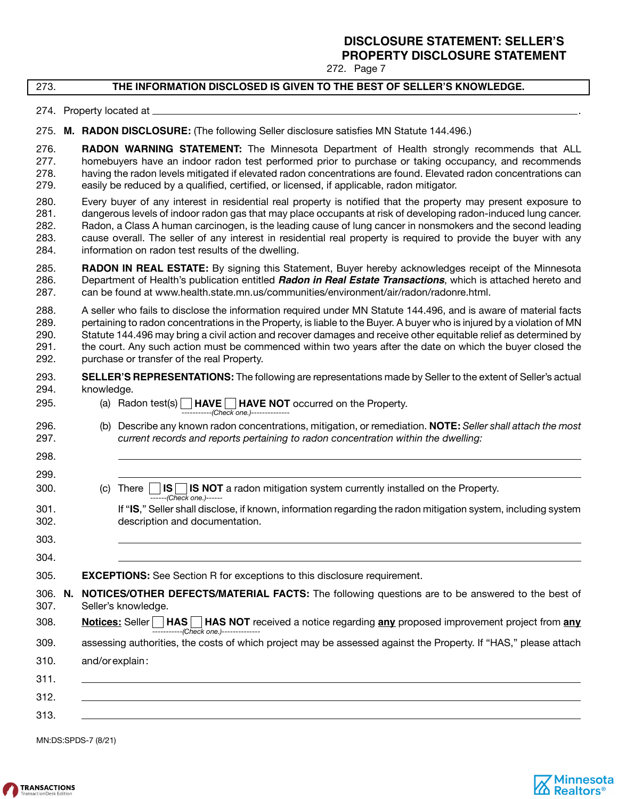272. Page 7

### 273. **THE INFORMATION DISCLOSED IS GIVEN TO THE BEST OF SELLER'S KNOWLEDGE.**

274. Property located at \_

### 275. M. RADON DISCLOSURE: (The following Seller disclosure satisfies MN Statute 144.496.)

276. **RADON WARNING STATEMENT:** The Minnesota Department of Health strongly recommends that ALL 277. homebuyers have an indoor radon test performed prior to purchase or taking occupancy, and recommends 278. having the radon levels mitigated if elevated radon concentrations are found. Elevated radon concentrations can 279. easily be reduced by a qualified, certified, or licensed, if applicable, radon mitigator.

280. Every buyer of any interest in residential real property is notified that the property may present exposure to 281. dangerous levels of indoor radon gas that may place occupants at risk of developing radon-induced lung cancer. 282. Radon, a Class A human carcinogen, is the leading cause of lung cancer in nonsmokers and the second leading 283. cause overall. The seller of any interest in residential real property is required to provide the buyer with any 284. information on radon test results of the dwelling.

285. **RADON IN REAL ESTATE:** By signing this Statement, Buyer hereby acknowledges receipt of the Minnesota 286. Department of Health's publication entitled **Radon in Real Estate Transactions**, which is attached hereto and 287. can be found at www.health.state.mn.us/communities/environment/air/radon/radonre.html.

288. A seller who fails to disclose the information required under MN Statute 144.496, and is aware of material facts 289. pertaining to radon concentrations in the Property, is liable to the Buyer. A buyer who is injured by a violation of MN 290. Statute 144.496 may bring a civil action and recover damages and receive other equitable relief as determined by 291. the court. Any such action must be commenced within two years after the date on which the buyer closed the 292. purchase or transfer of the real Property.

### 293. **SELLER'S REPRESENTATIONS:** The following are representations made by Seller to the extent of Seller's actual<br>294. knowledge. knowledge.

- 295. (a) Radon test(s) **HAVE HAVE NOT** occurred on the Property. -----------*(Check one.)*--------------
- 296. (b) Describe any known radon concentrations, mitigation, or remediation. **NOTE:** *Seller shall attach the most*  297. *current records and reports pertaining to radon concentration within the dwelling:*
- 298. 299.

300. (c) There **IS IS NOT** a radon mitigation system currently installed on the Property.

|      | . <del>.</del> <b>.</b>                                                                                       |
|------|---------------------------------------------------------------------------------------------------------------|
| 301. | If "IS," Seller shall disclose, if known, information regarding the radon mitigation system, including system |
| 302  | description and documentation.                                                                                |

# 303.

304.

305. **EXCEPTIONS:** See Section R for exceptions to this disclosure requirement.

------*(Check one.)*------

|      | 306. N. NOTICES/OTHER DEFECTS/MATERIAL FACTS: The following questions are to be answered to the best of |  |
|------|---------------------------------------------------------------------------------------------------------|--|
| 307. | Seller's knowledge.                                                                                     |  |

308. **Notices:** Seller **HAS HAS NOT** received a notice regarding **any** proposed improvement project from **any** -----------*(Check one.)*--------------

309. assessing authorities, the costs of which project may be assessed against the Property. If "HAS," please attach

310. and/or explain :

311.

312.

313.

MN:DS:SPDS-7 (8/21)



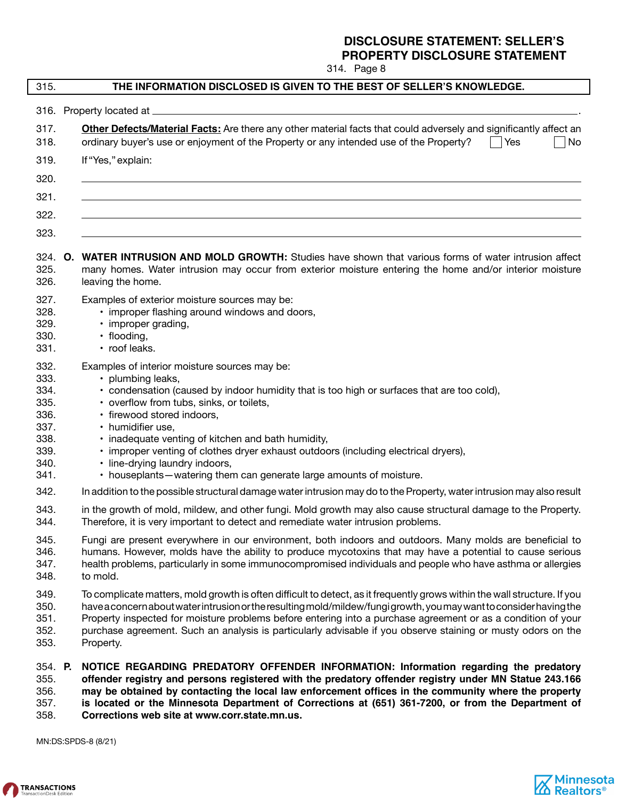314. Page 8

| 315.                                                                         | THE INFORMATION DISCLOSED IS GIVEN TO THE BEST OF SELLER'S KNOWLEDGE.                                                                                                                                                                                                                                                                                                                                                                                                                                                 |
|------------------------------------------------------------------------------|-----------------------------------------------------------------------------------------------------------------------------------------------------------------------------------------------------------------------------------------------------------------------------------------------------------------------------------------------------------------------------------------------------------------------------------------------------------------------------------------------------------------------|
| 316.                                                                         | Property located at _                                                                                                                                                                                                                                                                                                                                                                                                                                                                                                 |
| 317.<br>318.                                                                 | Other Defects/Material Facts: Are there any other material facts that could adversely and significantly affect an<br>ordinary buyer's use or enjoyment of the Property or any intended use of the Property?<br>  Yes<br>No                                                                                                                                                                                                                                                                                            |
| 319.                                                                         | If "Yes," explain:                                                                                                                                                                                                                                                                                                                                                                                                                                                                                                    |
| 320.                                                                         |                                                                                                                                                                                                                                                                                                                                                                                                                                                                                                                       |
| 321.                                                                         |                                                                                                                                                                                                                                                                                                                                                                                                                                                                                                                       |
| 322.                                                                         |                                                                                                                                                                                                                                                                                                                                                                                                                                                                                                                       |
| 323.                                                                         |                                                                                                                                                                                                                                                                                                                                                                                                                                                                                                                       |
| 324. O.<br>325.<br>326.                                                      | WATER INTRUSION AND MOLD GROWTH: Studies have shown that various forms of water intrusion affect<br>many homes. Water intrusion may occur from exterior moisture entering the home and/or interior moisture<br>leaving the home.                                                                                                                                                                                                                                                                                      |
| 327.<br>328.<br>329.<br>330.<br>331.                                         | Examples of exterior moisture sources may be:<br>• improper flashing around windows and doors,<br>· improper grading,<br>· flooding,<br>• roof leaks.                                                                                                                                                                                                                                                                                                                                                                 |
| 332.<br>333.<br>334.<br>335.<br>336.<br>337.<br>338.<br>339.<br>340.<br>341. | Examples of interior moisture sources may be:<br>• plumbing leaks,<br>• condensation (caused by indoor humidity that is too high or surfaces that are too cold),<br>• overflow from tubs, sinks, or toilets,<br>· firewood stored indoors,<br>• humidifier use,<br>• inadequate venting of kitchen and bath humidity,<br>• improper venting of clothes dryer exhaust outdoors (including electrical dryers),<br>· line-drying laundry indoors,<br>• houseplants-watering them can generate large amounts of moisture. |
| 342.                                                                         | In addition to the possible structural damage water intrusion may do to the Property, water intrusion may also result                                                                                                                                                                                                                                                                                                                                                                                                 |
| 343.<br>344.                                                                 | in the growth of mold, mildew, and other fungi. Mold growth may also cause structural damage to the Property.<br>Therefore, it is very important to detect and remediate water intrusion problems.                                                                                                                                                                                                                                                                                                                    |
| 345.<br>346.<br>347.<br>348.                                                 | Fungi are present everywhere in our environment, both indoors and outdoors. Many molds are beneficial to<br>humans. However, molds have the ability to produce mycotoxins that may have a potential to cause serious<br>health problems, particularly in some immunocompromised individuals and people who have asthma or allergies<br>to mold.                                                                                                                                                                       |
| 349.<br>350.<br>351.<br>352.<br>353.                                         | To complicate matters, mold growth is often difficult to detect, as it frequently grows within the wall structure. If you<br>have a concern about water intrusion or the resulting mold/mildew/fungigrowth, you may want to consider having the<br>Property inspected for moisture problems before entering into a purchase agreement or as a condition of your<br>purchase agreement. Such an analysis is particularly advisable if you observe staining or musty odors on the<br>Property.                          |
| 354. P.<br>355.<br>356.<br>357.<br>358.                                      | NOTICE REGARDING PREDATORY OFFENDER INFORMATION: Information regarding the predatory<br>offender registry and persons registered with the predatory offender registry under MN Statue 243.166<br>may be obtained by contacting the local law enforcement offices in the community where the property<br>is located or the Minnesota Department of Corrections at (651) 361-7200, or from the Department of<br>Corrections web site at www.corr.state.mn.us.                                                           |

MN:DS:SPDS-8 (8/21)



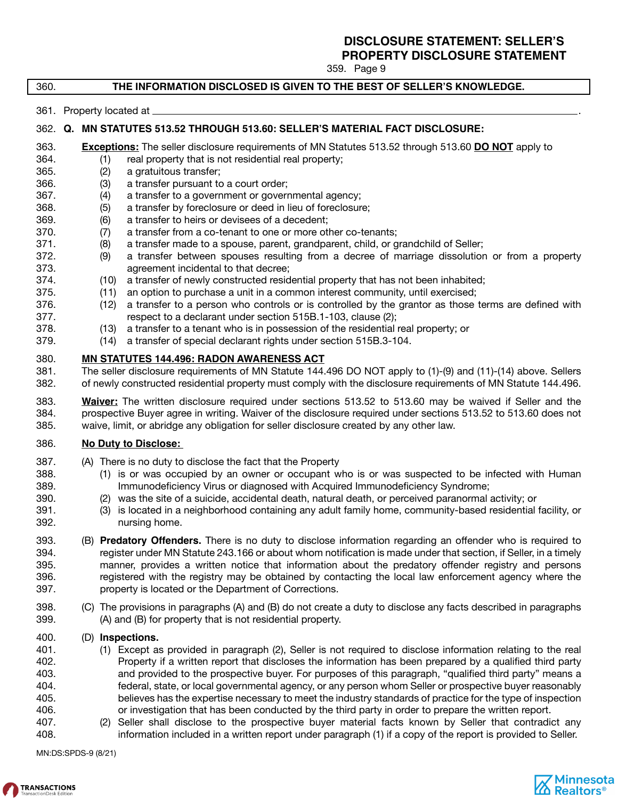359. Page 9

### 360. **THE INFORMATION DISCLOSED IS GIVEN TO THE BEST OF SELLER'S KNOWLEDGE.**

361. Property located at .

### 362. **Q. MN STATUTES 513.52 THROUGH 513.60: SELLER'S MATERIAL FACT DISCLOSURE:**

- 363. **Exceptions:** The seller disclosure requirements of MN Statutes 513.52 through 513.60 **DO NOT** apply to
- 364. (1) real property that is not residential real property;
- 365. (2) a gratuitous transfer;
- 366. (3) a transfer pursuant to a court order;
- 367. (4) a transfer to a government or governmental agency;
- 368. (5) a transfer by foreclosure or deed in lieu of foreclosure;
- 369. (6) a transfer to heirs or devisees of a decedent;
- 370. (7) a transfer from a co-tenant to one or more other co-tenants;
- 371. (8) a transfer made to a spouse, parent, grandparent, child, or grandchild of Seller;
- 372. (9) a transfer between spouses resulting from a decree of marriage dissolution or from a property 373. agreement incidental to that decree;
- 374. (10) a transfer of newly constructed residential property that has not been inhabited;
- 375. (11) an option to purchase a unit in a common interest community, until exercised;
- 376. (12) a transfer to a person who controls or is controlled by the grantor as those terms are defined with 377. respect to a declarant under section 515B.1-103, clause (2);
- 378. (13) a transfer to a tenant who is in possession of the residential real property; or
- 379. (14) a transfer of special declarant rights under section 515B.3-104.

# 380. **MN STATUTES 144.496: RADON AWARENESS ACT**<br>381. The seller disclosure requirements of MN Statute 144.

The seller disclosure requirements of MN Statute 144.496 DO NOT apply to (1)-(9) and (11)-(14) above. Sellers 382. of newly constructed residential property must comply with the disclosure requirements of MN Statute 144.496.

383. **Waiver:** The written disclosure required under sections 513.52 to 513.60 may be waived if Seller and the 384. prospective Buyer agree in writing. Waiver of the disclosure required under sections 513.52 to 513.60 does not 385. waive, limit, or abridge any obligation for seller disclosure created by any other law.

### 386. **No Duty to Disclose:**

- 387. (A) There is no duty to disclose the fact that the Property
- 388. (1) is or was occupied by an owner or occupant who is or was suspected to be infected with Human 389. Immunodeficiency Virus or diagnosed with Acquired Immunodeficiency Syndrome;
- 390. (2) was the site of a suicide, accidental death, natural death, or perceived paranormal activity; or
- 391. (3) is located in a neighborhood containing any adult family home, community-based residential facility, or 392. nursing home.
- 393. (B) **Predatory Offenders.** There is no duty to disclose information regarding an offender who is required to The Samman of the prepret management of the sequence of the tegsts of the tegsts of the tegsts of the sequence<br>The time of the preparts of the predator offender, it as timely the sequence of the sequence of the predator o<br> manner, provides a written notice that information about the predatory offender registry and persons 396. registered with the registry may be obtained by contacting the local law enforcement agency where the 397. property is located or the Department of Corrections.
- 398. (C) The provisions in paragraphs (A) and (B) do not create a duty to disclose any facts described in paragraphs 399. (A) and (B) for property that is not residential property.

### 400. (D) **Inspections.**

- 401. (1) Except as provided in paragraph (2), Seller is not required to disclose information relating to the real<br>402. Property if a written report that discloses the information has been prepared by a qualified third part Property if a written report that discloses the information has been prepared by a qualified third party 403. and provided to the prospective buyer. For purposes of this paragraph, "qualified third party" means a 404. federal, state, or local governmental agency, or any person whom Seller or prospective buyer reasonably 405. believes has the expertise necessary to meet the industry standards of practice for the type of inspection 406. or investigation that has been conducted by the third party in order to prepare the written report.
- 407. (2) Seller shall disclose to the prospective buyer material facts known by Seller that contradict any 408. information included in a written report under paragraph (1) if a copy of the report is provided to Seller.

MN:DS:SPDS-9 (8/21)

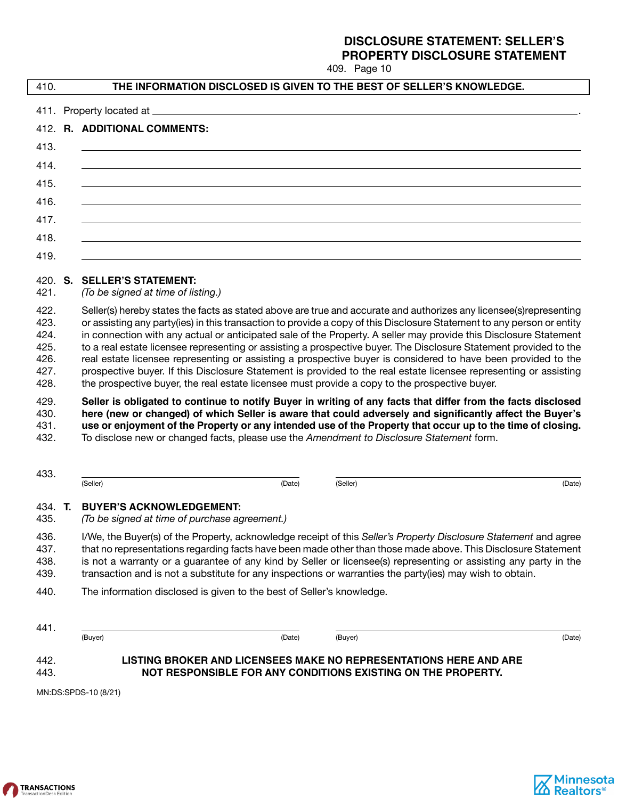| 410.                                                 |                                                                                                          |        |                                                                                               |                                                                                                                                                                                                                                                                                                                                                                                                                                                                                                                                                                                                                                                                                                                              |
|------------------------------------------------------|----------------------------------------------------------------------------------------------------------|--------|-----------------------------------------------------------------------------------------------|------------------------------------------------------------------------------------------------------------------------------------------------------------------------------------------------------------------------------------------------------------------------------------------------------------------------------------------------------------------------------------------------------------------------------------------------------------------------------------------------------------------------------------------------------------------------------------------------------------------------------------------------------------------------------------------------------------------------------|
|                                                      |                                                                                                          |        | THE INFORMATION DISCLOSED IS GIVEN TO THE BEST OF SELLER'S KNOWLEDGE.                         |                                                                                                                                                                                                                                                                                                                                                                                                                                                                                                                                                                                                                                                                                                                              |
|                                                      |                                                                                                          |        |                                                                                               |                                                                                                                                                                                                                                                                                                                                                                                                                                                                                                                                                                                                                                                                                                                              |
|                                                      | 412. R. ADDITIONAL COMMENTS:                                                                             |        |                                                                                               |                                                                                                                                                                                                                                                                                                                                                                                                                                                                                                                                                                                                                                                                                                                              |
| 413.                                                 |                                                                                                          |        |                                                                                               |                                                                                                                                                                                                                                                                                                                                                                                                                                                                                                                                                                                                                                                                                                                              |
| 414.                                                 |                                                                                                          |        |                                                                                               |                                                                                                                                                                                                                                                                                                                                                                                                                                                                                                                                                                                                                                                                                                                              |
| 415.                                                 |                                                                                                          |        |                                                                                               |                                                                                                                                                                                                                                                                                                                                                                                                                                                                                                                                                                                                                                                                                                                              |
| 416.                                                 |                                                                                                          |        |                                                                                               |                                                                                                                                                                                                                                                                                                                                                                                                                                                                                                                                                                                                                                                                                                                              |
| 417.                                                 |                                                                                                          |        |                                                                                               |                                                                                                                                                                                                                                                                                                                                                                                                                                                                                                                                                                                                                                                                                                                              |
| 418.                                                 |                                                                                                          |        |                                                                                               |                                                                                                                                                                                                                                                                                                                                                                                                                                                                                                                                                                                                                                                                                                                              |
| 419.                                                 |                                                                                                          |        |                                                                                               |                                                                                                                                                                                                                                                                                                                                                                                                                                                                                                                                                                                                                                                                                                                              |
| 420. S.<br>421.                                      | <b>SELLER'S STATEMENT:</b><br>(To be signed at time of listing.)                                         |        |                                                                                               |                                                                                                                                                                                                                                                                                                                                                                                                                                                                                                                                                                                                                                                                                                                              |
| 422.<br>423.<br>424.<br>425.<br>426.<br>427.<br>428. |                                                                                                          |        |                                                                                               | Seller(s) hereby states the facts as stated above are true and accurate and authorizes any licensee(s)representing<br>or assisting any party(ies) in this transaction to provide a copy of this Disclosure Statement to any person or entity<br>in connection with any actual or anticipated sale of the Property. A seller may provide this Disclosure Statement<br>to a real estate licensee representing or assisting a prospective buyer. The Disclosure Statement provided to the<br>real estate licensee representing or assisting a prospective buyer is considered to have been provided to the<br>prospective buyer. If this Disclosure Statement is provided to the real estate licensee representing or assisting |
|                                                      |                                                                                                          |        | the prospective buyer, the real estate licensee must provide a copy to the prospective buyer. |                                                                                                                                                                                                                                                                                                                                                                                                                                                                                                                                                                                                                                                                                                                              |
| 429.<br>430.<br>431.<br>432.                         | To disclose new or changed facts, please use the Amendment to Disclosure Statement form.                 |        |                                                                                               | Seller is obligated to continue to notify Buyer in writing of any facts that differ from the facts disclosed<br>here (new or changed) of which Seller is aware that could adversely and significantly affect the Buyer's<br>use or enjoyment of the Property or any intended use of the Property that occur up to the time of closing.                                                                                                                                                                                                                                                                                                                                                                                       |
| 433.                                                 | (Seller)                                                                                                 | (Date) | (Seller)                                                                                      | (Date)                                                                                                                                                                                                                                                                                                                                                                                                                                                                                                                                                                                                                                                                                                                       |
| 434 <b>T</b><br>435.                                 | <b>BUYER'S ACKNOWLEDGEMENT:</b><br>(To be signed at time of purchase agreement.)                         |        |                                                                                               |                                                                                                                                                                                                                                                                                                                                                                                                                                                                                                                                                                                                                                                                                                                              |
| 436.<br>437.<br>438.<br>439.                         | transaction and is not a substitute for any inspections or warranties the party(ies) may wish to obtain. |        |                                                                                               | I/We, the Buyer(s) of the Property, acknowledge receipt of this Seller's Property Disclosure Statement and agree<br>that no representations regarding facts have been made other than those made above. This Disclosure Statement<br>is not a warranty or a guarantee of any kind by Seller or licensee(s) representing or assisting any party in the                                                                                                                                                                                                                                                                                                                                                                        |
| 440.                                                 | The information disclosed is given to the best of Seller's knowledge.                                    |        |                                                                                               |                                                                                                                                                                                                                                                                                                                                                                                                                                                                                                                                                                                                                                                                                                                              |
| 441.                                                 |                                                                                                          |        |                                                                                               |                                                                                                                                                                                                                                                                                                                                                                                                                                                                                                                                                                                                                                                                                                                              |
|                                                      | (Buyer)                                                                                                  | (Date) | (Buyer)                                                                                       | (Date)                                                                                                                                                                                                                                                                                                                                                                                                                                                                                                                                                                                                                                                                                                                       |



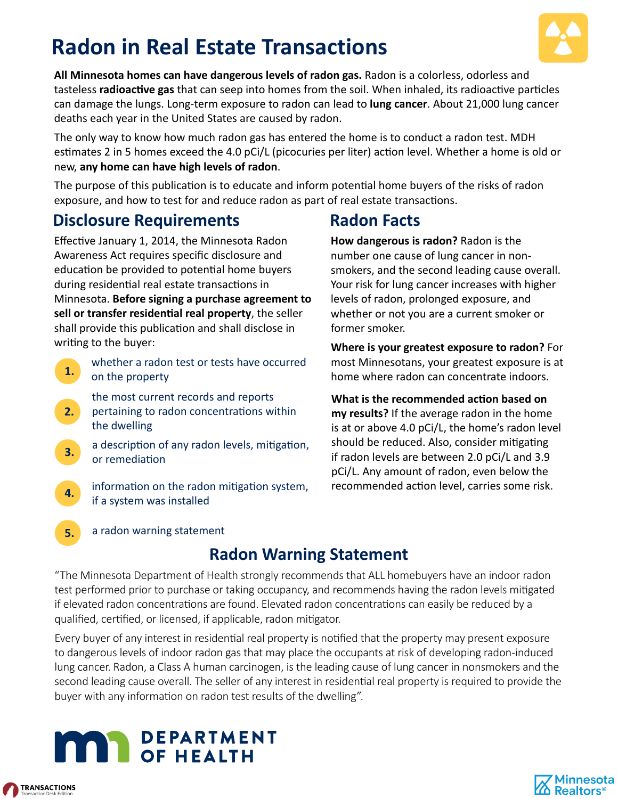# **Radon in Real Estate Transactions**



**All Minnesota homes can have dangerous levels of radon gas.** Radon is a colorless, odorless and tasteless **radioactive gas** that can seep into homes from the soil. When inhaled, its radioactive particles can damage the lungs. Long-term exposure to radon can lead to **lung cancer**. About 21,000 lung cancer deaths each year in the United States are caused by radon.

The only way to know how much radon gas has entered the home is to conduct a radon test. MDH estimates 2 in 5 homes exceed the 4.0 pCi/L (picocuries per liter) action level. Whether a home is old or new, **any home can have high levels of radon**.

The purpose of this publication is to educate and inform potential home buyers of the risks of radon exposure, and how to test for and reduce radon as part of real estate transactions.

# **Disclosure Requirements**

Effective January 1, 2014, the Minnesota Radon Awareness Act requires specific disclosure and education be provided to potential home buyers during residential real estate transactions in Minnesota. **Before signing a purchase agreement to**  sell or transfer residential real property, the seller shall provide this publication and shall disclose in writing to the buyer:

- **1.**  whether a radon test or tests have occurred on the property
- **2.**  the most current records and reports pertaining to radon concentrations within the dwelling
- **3.**  a description of any radon levels, mitigation, or remediation
- **4.**  information on the radon mitigation system, if a system was installed

# **Radon Facts**

**How dangerous is radon?** Radon is the number one cause of lung cancer in nonsmokers, and the second leading cause overall. Your risk for lung cancer increases with higher levels of radon, prolonged exposure, and whether or not you are a current smoker or former smoker.

**Where is your greatest exposure to radon?** For most Minnesotans, your greatest exposure is at home where radon can concentrate indoors.

**What is the recommended action based on my results?** If the average radon in the home is at or above 4.0 pCi/L, the home's radon level should be reduced. Also, consider mitigating if radon levels are between 2.0 pCi/L and 3.9 pCi/L. Any amount of radon, even below the recommended action level, carries some risk.

a radon warning statement

# **Radon Warning Statement**

"The Minnesota Department of Health strongly recommends that ALL homebuyers have an indoor radon test performed prior to purchase or taking occupancy, and recommends having the radon levels mitigated if elevated radon concentrations are found. Elevated radon concentrations can easily be reduced by a qualified, certified, or licensed, if applicable, radon mitigator.

Every buyer of any interest in residential real property is notified that the property may present exposure to dangerous levels of indoor radon gas that may place the occupants at risk of developing radon-induced lung cancer. Radon, a Class A human carcinogen, is the leading cause of lung cancer in nonsmokers and the second leading cause overall. The seller of any interest in residential real property is required to provide the buyer with any information on radon test results of the dwelling".



**5.**